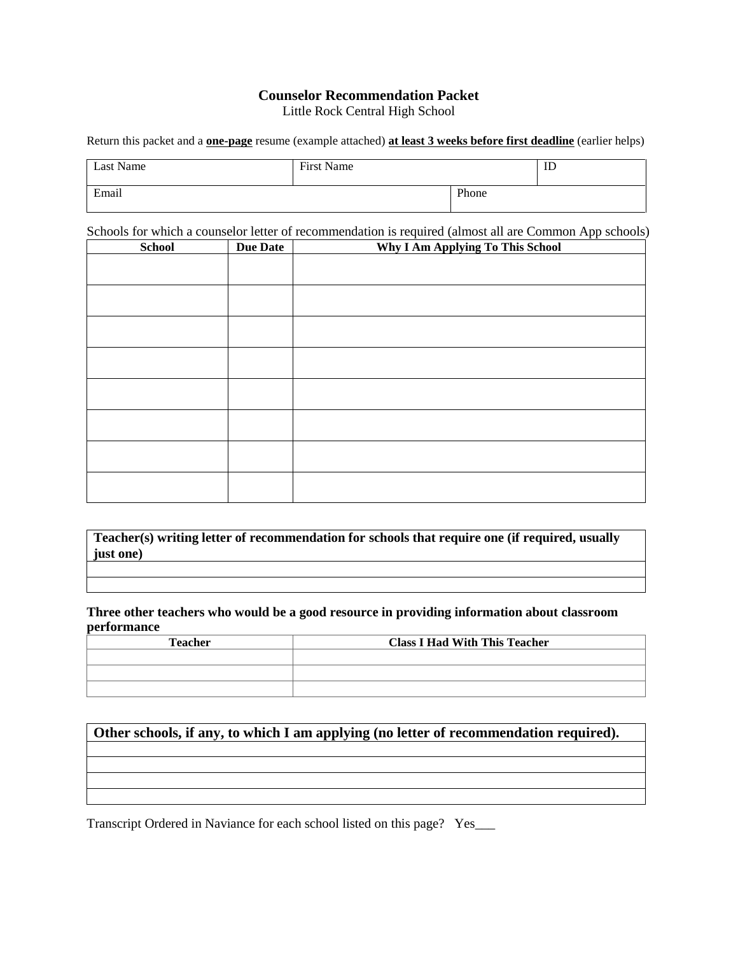# **Counselor Recommendation Packet**

Little Rock Central High School

Return this packet and a **one-page** resume (example attached) **at least 3 weeks before first deadline** (earlier helps)

| Last Name | First Name |       | ID |
|-----------|------------|-------|----|
| Email     |            | Phone |    |

Schools for which a counselor letter of recommendation is required (almost all are Common App schools)

| <b>School</b> | <b>Due Date</b> | Why I Am Applying To This School |  |
|---------------|-----------------|----------------------------------|--|
|               |                 |                                  |  |
|               |                 |                                  |  |
|               |                 |                                  |  |
|               |                 |                                  |  |
|               |                 |                                  |  |
|               |                 |                                  |  |
|               |                 |                                  |  |
|               |                 |                                  |  |
|               |                 |                                  |  |
|               |                 |                                  |  |
|               |                 |                                  |  |
|               |                 |                                  |  |
|               |                 |                                  |  |
|               |                 |                                  |  |
|               |                 |                                  |  |

**Teacher(s) writing letter of recommendation for schools that require one (if required, usually just one)**

**Three other teachers who would be a good resource in providing information about classroom performance**

| <b>Teacher</b> | <b>Class I Had With This Teacher</b> |  |
|----------------|--------------------------------------|--|
|                |                                      |  |
|                |                                      |  |
|                |                                      |  |

#### **Other schools, if any, to which I am applying (no letter of recommendation required).**

Transcript Ordered in Naviance for each school listed on this page? Yes\_\_\_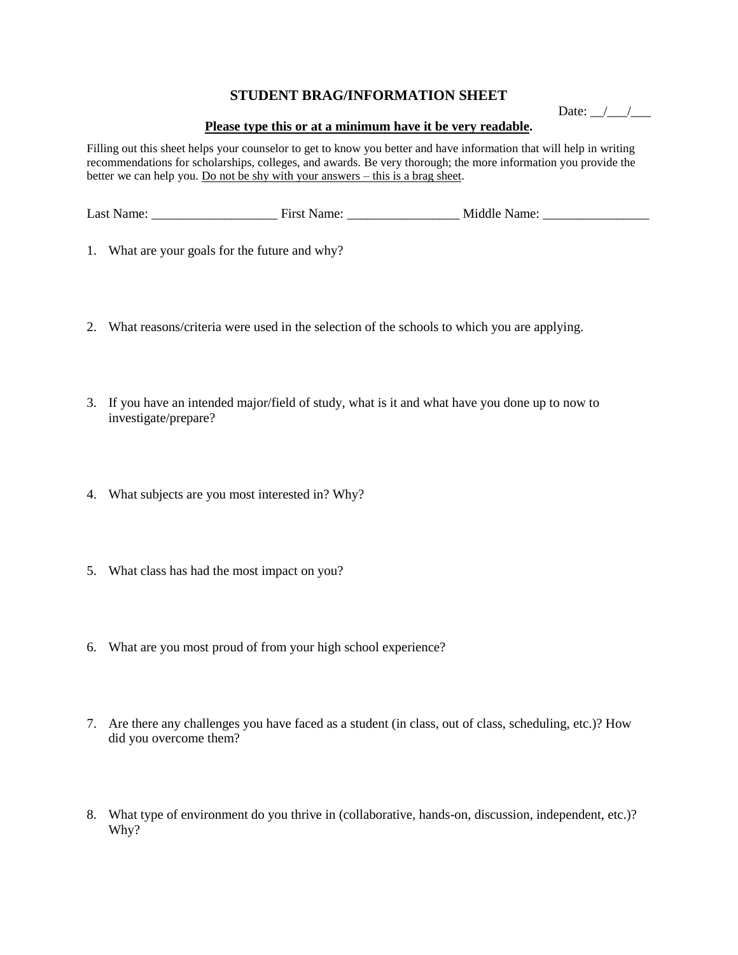#### **STUDENT BRAG/INFORMATION SHEET**

Date:  $\angle$ 

#### **Please type this or at a minimum have it be very readable.**

Filling out this sheet helps your counselor to get to know you better and have information that will help in writing recommendations for scholarships, colleges, and awards. Be very thorough; the more information you provide the better we can help you. Do not be shy with your answers – this is a brag sheet.

| Last Name: | First Name: | Middle Name: |
|------------|-------------|--------------|
|            |             |              |

- 1. What are your goals for the future and why?
- 2. What reasons/criteria were used in the selection of the schools to which you are applying.
- 3. If you have an intended major/field of study, what is it and what have you done up to now to investigate/prepare?
- 4. What subjects are you most interested in? Why?
- 5. What class has had the most impact on you?
- 6. What are you most proud of from your high school experience?
- 7. Are there any challenges you have faced as a student (in class, out of class, scheduling, etc.)? How did you overcome them?
- 8. What type of environment do you thrive in (collaborative, hands-on, discussion, independent, etc.)? Why?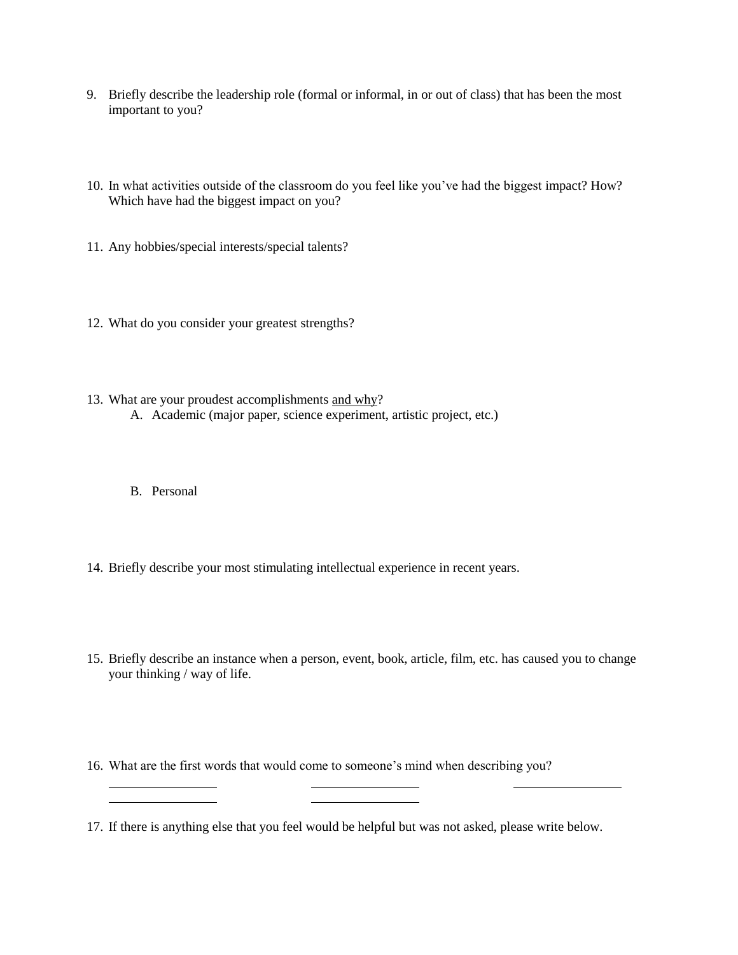- 9. Briefly describe the leadership role (formal or informal, in or out of class) that has been the most important to you?
- 10. In what activities outside of the classroom do you feel like you've had the biggest impact? How? Which have had the biggest impact on you?
- 11. Any hobbies/special interests/special talents?
- 12. What do you consider your greatest strengths?
- 13. What are your proudest accomplishments and why? A. Academic (major paper, science experiment, artistic project, etc.)
	- B. Personal
- 14. Briefly describe your most stimulating intellectual experience in recent years.
- 15. Briefly describe an instance when a person, event, book, article, film, etc. has caused you to change your thinking / way of life.
- 16. What are the first words that would come to someone's mind when describing you?
- 17. If there is anything else that you feel would be helpful but was not asked, please write below.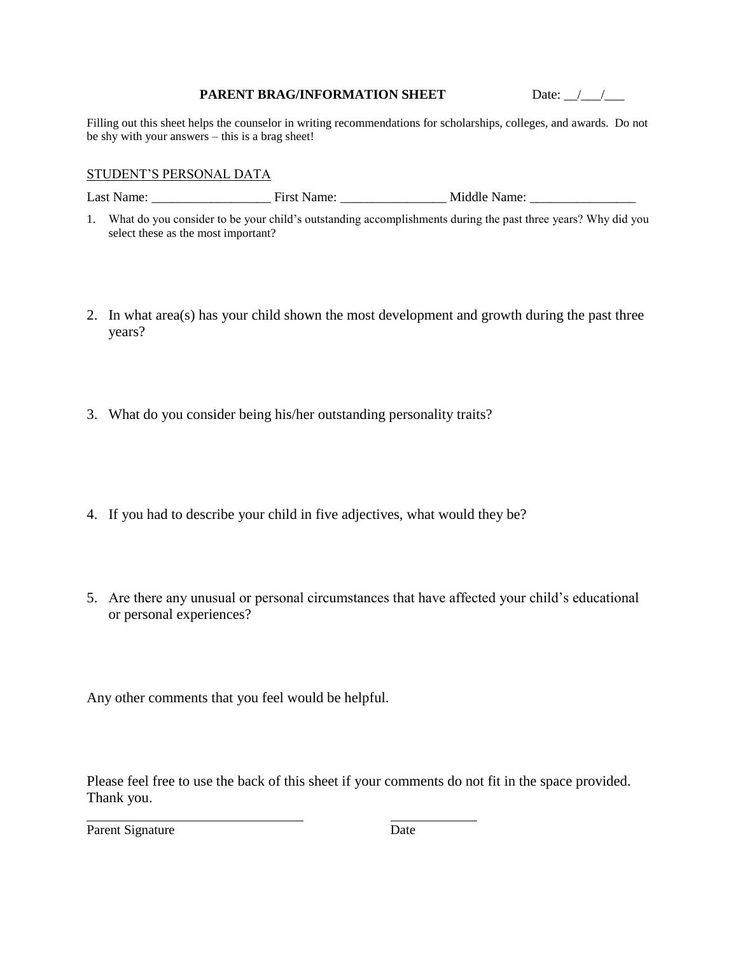#### **PARENT BRAG/INFORMATION SHEET** Date:  $\frac{1}{2}$

Filling out this sheet helps the counselor in writing recommendations for scholarships, colleges, and awards. Do not be shy with your answers – this is a brag sheet!

#### STUDENT'S PERSONAL DATA

Last Name: \_\_\_\_\_\_\_\_\_\_\_\_\_\_\_\_\_\_ First Name: \_\_\_\_\_\_\_\_\_\_\_\_\_\_\_\_ Middle Name: \_\_\_\_\_\_\_\_\_\_\_\_\_\_\_\_

- 1. What do you consider to be your child's outstanding accomplishments during the past three years? Why did you select these as the most important?
- 2. In what area(s) has your child shown the most development and growth during the past three years?
- 3. What do you consider being his/her outstanding personality traits?
- 4. If you had to describe your child in five adjectives, what would they be?
- 5. Are there any unusual or personal circumstances that have affected your child's educational or personal experiences?

Any other comments that you feel would be helpful.

Please feel free to use the back of this sheet if your comments do not fit in the space provided. Thank you.

Parent Signature Date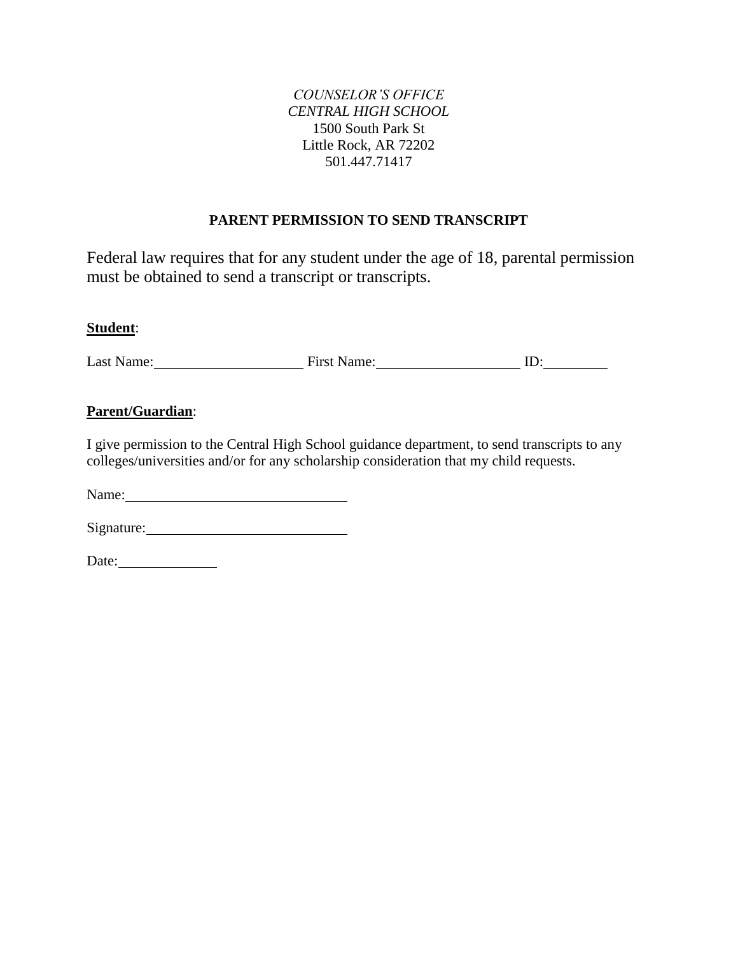#### *COUNSELOR'S OFFICE CENTRAL HIGH SCHOOL* 1500 South Park St Little Rock, AR 72202 501.447.71417

### **PARENT PERMISSION TO SEND TRANSCRIPT**

Federal law requires that for any student under the age of 18, parental permission must be obtained to send a transcript or transcripts.

#### **Student**:

Last Name: First Name: First Name: ID:

### **Parent/Guardian**:

I give permission to the Central High School guidance department, to send transcripts to any colleges/universities and/or for any scholarship consideration that my child requests.

Name:

Signature:

Date: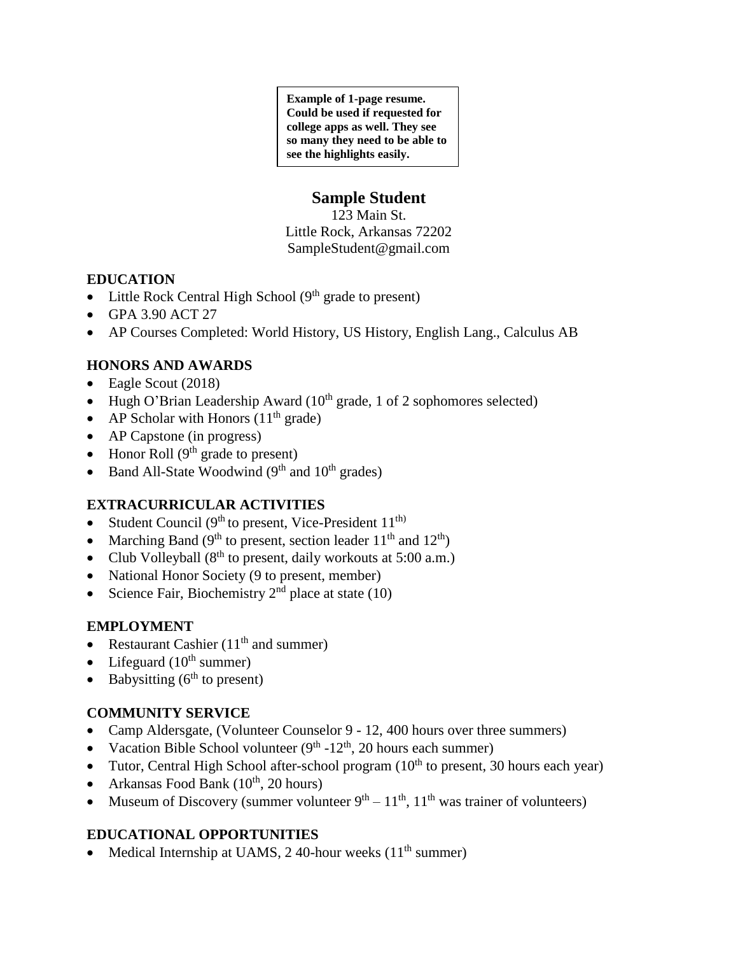**Example of 1-page resume. Could be used if requested for college apps as well. They see so many they need to be able to see the highlights easily.**

# **Sample Student**

123 Main St. Little Rock, Arkansas 72202 SampleStudent@gmail.com

### **EDUCATION**

- Little Rock Central High School  $(9<sup>th</sup> \text{ grade to present})$
- GPA 3.90 ACT 27
- AP Courses Completed: World History, US History, English Lang., Calculus AB

# **HONORS AND AWARDS**

- Eagle Scout (2018)
- Hugh O'Brian Leadership Award ( $10^{th}$  grade, 1 of 2 sophomores selected)
- AP Scholar with Honors  $(11<sup>th</sup> \text{ grade})$
- AP Capstone (in progress)
- Honor Roll  $(9<sup>th</sup>$  grade to present)
- Band All-State Woodwind  $(9<sup>th</sup>$  and  $10<sup>th</sup>$  grades)

# **EXTRACURRICULAR ACTIVITIES**

- Student Council ( $9<sup>th</sup>$  to present, Vice-President  $11<sup>th</sup>$ )
- Marching Band ( $9<sup>th</sup>$  to present, section leader  $11<sup>th</sup>$  and  $12<sup>th</sup>$ )
- Club Volleyball  $(8^{th}$  to present, daily workouts at 5:00 a.m.)
- National Honor Society (9 to present, member)
- Science Fair, Biochemistry  $2<sup>nd</sup>$  place at state (10)

# **EMPLOYMENT**

- Restaurant Cashier  $(11<sup>th</sup>$  and summer)
- Lifeguard  $(10^{th}$  summer)
- Babysitting  $(6<sup>th</sup>$  to present)

# **COMMUNITY SERVICE**

- Camp Aldersgate, (Volunteer Counselor 9 12, 400 hours over three summers)
- Vacation Bible School volunteer  $(9<sup>th</sup> 12<sup>th</sup>, 20$  hours each summer)
- Tutor, Central High School after-school program  $(10<sup>th</sup>$  to present, 30 hours each year)
- Arkansas Food Bank  $(10^{th}, 20 \text{ hours})$
- Museum of Discovery (summer volunteer  $9<sup>th</sup> 11<sup>th</sup>$ ,  $11<sup>th</sup>$  was trainer of volunteers)

# **EDUCATIONAL OPPORTUNITIES**

• Medical Internship at UAMS,  $2\,40$ -hour weeks ( $11<sup>th</sup>$  summer)